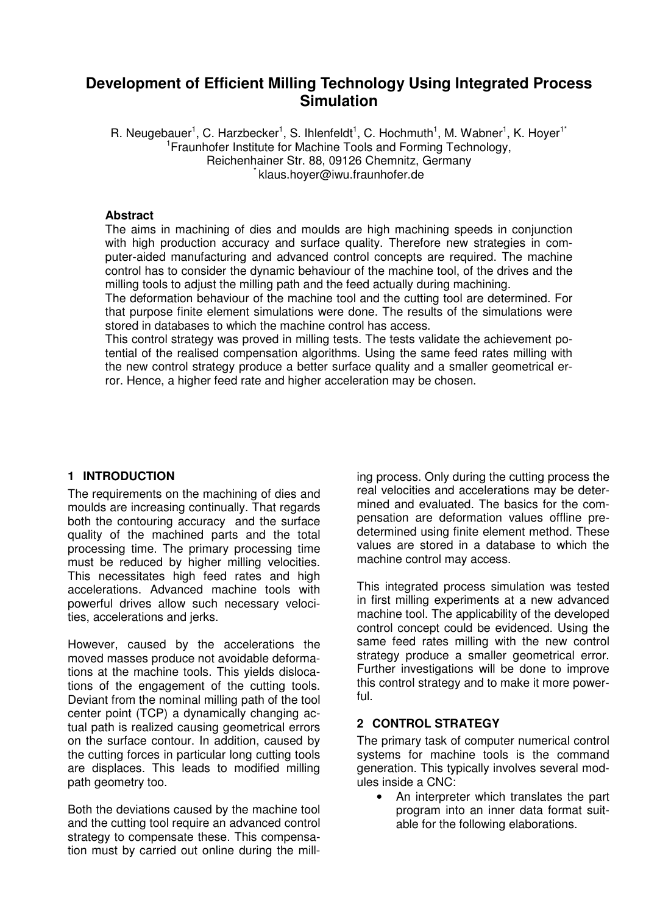# **Development of Efficient Milling Technology Using Integrated Process Simulation**

R. Neugebauer<sup>1</sup>, C. Harzbecker<sup>1</sup>, S. Ihlenfeldt<sup>1</sup>, C. Hochmuth<sup>1</sup>, M. Wabner<sup>1</sup>, K. Hoyer<sup>1\*</sup> <sup>1</sup> Fraunhofer Institute for Machine Tools and Forming Technology, Reichenhainer Str. 88, 09126 Chemnitz, Germany klaus.hoyer@iwu.fraunhofer.de

#### **Abstract**

The aims in machining of dies and moulds are high machining speeds in conjunction with high production accuracy and surface quality. Therefore new strategies in computer-aided manufacturing and advanced control concepts are required. The machine control has to consider the dynamic behaviour of the machine tool, of the drives and the milling tools to adjust the milling path and the feed actually during machining.

The deformation behaviour of the machine tool and the cutting tool are determined. For that purpose finite element simulations were done. The results of the simulations were stored in databases to which the machine control has access.

This control strategy was proved in milling tests. The tests validate the achievement potential of the realised compensation algorithms. Using the same feed rates milling with the new control strategy produce a better surface quality and a smaller geometrical error. Hence, a higher feed rate and higher acceleration may be chosen.

## **1 INTRODUCTION**

The requirements on the machining of dies and moulds are increasing continually. That regards both the contouring accuracy and the surface quality of the machined parts and the total processing time. The primary processing time must be reduced by higher milling velocities. This necessitates high feed rates and high accelerations. Advanced machine tools with powerful drives allow such necessary velocities, accelerations and jerks.

However, caused by the accelerations the moved masses produce not avoidable deformations at the machine tools. This yields dislocations of the engagement of the cutting tools. Deviant from the nominal milling path of the tool center point (TCP) a dynamically changing actual path is realized causing geometrical errors on the surface contour. In addition, caused by the cutting forces in particular long cutting tools are displaces. This leads to modified milling path geometry too.

Both the deviations caused by the machine tool and the cutting tool require an advanced control strategy to compensate these. This compensation must by carried out online during the milling process. Only during the cutting process the real velocities and accelerations may be determined and evaluated. The basics for the compensation are deformation values offline predetermined using finite element method. These values are stored in a database to which the machine control may access.

This integrated process simulation was tested in first milling experiments at a new advanced machine tool. The applicability of the developed control concept could be evidenced. Using the same feed rates milling with the new control strategy produce a smaller geometrical error. Further investigations will be done to improve this control strategy and to make it more powerful.

### **2 CONTROL STRATEGY**

The primary task of computer numerical control systems for machine tools is the command generation. This typically involves several modules inside a CNC:

• An interpreter which translates the part program into an inner data format suitable for the following elaborations.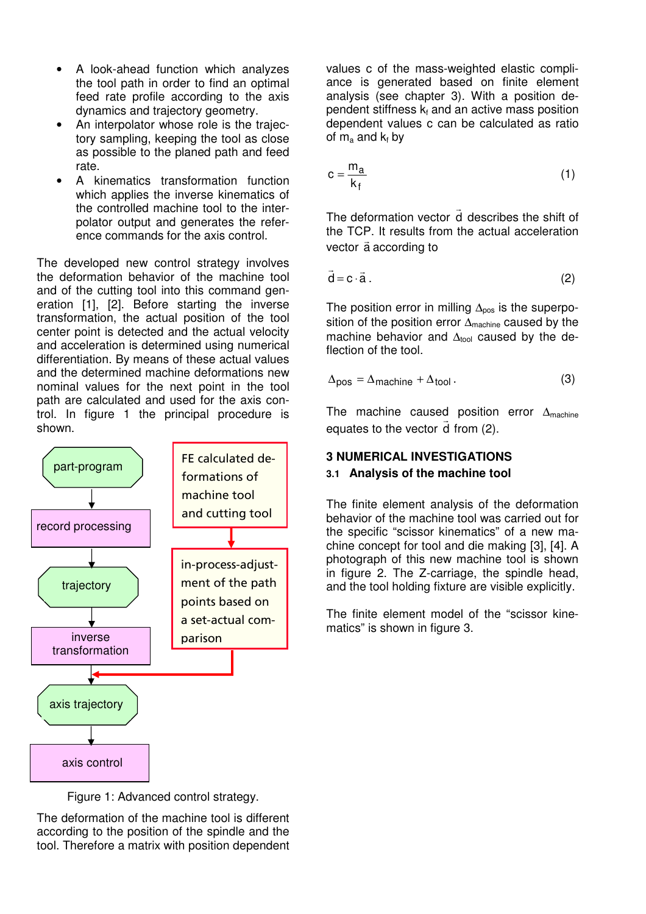- A look-ahead function which analyzes the tool path in order to find an optimal feed rate profile according to the axis dynamics and trajectory geometry.
- An interpolator whose role is the trajectory sampling, keeping the tool as close as possible to the planed path and feed rate.
- A kinematics transformation function which applies the inverse kinematics of the controlled machine tool to the interpolator output and generates the reference commands for the axis control.

The developed new control strategy involves the deformation behavior of the machine tool and of the cutting tool into this command generation [1], [2]. Before starting the inverse transformation, the actual position of the tool center point is detected and the actual velocity and acceleration is determined using numerical differentiation. By means of these actual values and the determined machine deformations new nominal values for the next point in the tool path are calculated and used for the axis control. In figure 1 the principal procedure is shown.



values c of the mass-weighted elastic compliance is generated based on finite element analysis (see chapter 3). With a position dependent stiffness  $k_f$  and an active mass position dependent values c can be calculated as ratio of  $\mathsf{m}_{\mathsf{a}}$  and  $\mathsf{k}_{\mathsf{f}}$  by

$$
c = \frac{m_a}{k_f} \tag{1}
$$

The deformation vector d describes the shift of  $\overline{\phantom{a}}$ the TCP. It results from the actual acceleration vector a according to

$$
\vec{d} = c \cdot \vec{a} \,. \tag{2}
$$

The position error in milling  $\Delta_{pos}$  is the superposition of the position error  $\Delta_{\text{machine}}$  caused by the machine behavior and  $\Delta_{\text{tool}}$  caused by the deflection of the tool.

$$
\Delta_{\text{pos}} = \Delta_{\text{machine}} + \Delta_{\text{tool}}. \tag{3}
$$

The machine caused position error  $\Delta_{\text{machine}}$ equates to the vector d from (2).

# **3 NUMERICAL INVESTIGATIONS**

# **3.1 Analysis of the machine tool**

The finite element analysis of the deformation behavior of the machine tool was carried out for the specific "scissor kinematics" of a new machine concept for tool and die making [3], [4]. A photograph of this new machine tool is shown in figure 2. The Z-carriage, the spindle head, and the tool holding fixture are visible explicitly.

The finite element model of the "scissor kinematics" is shown in figure 3.

Figure 1: Advanced control strategy.

The deformation of the machine tool is different according to the position of the spindle and the tool. Therefore a matrix with position dependent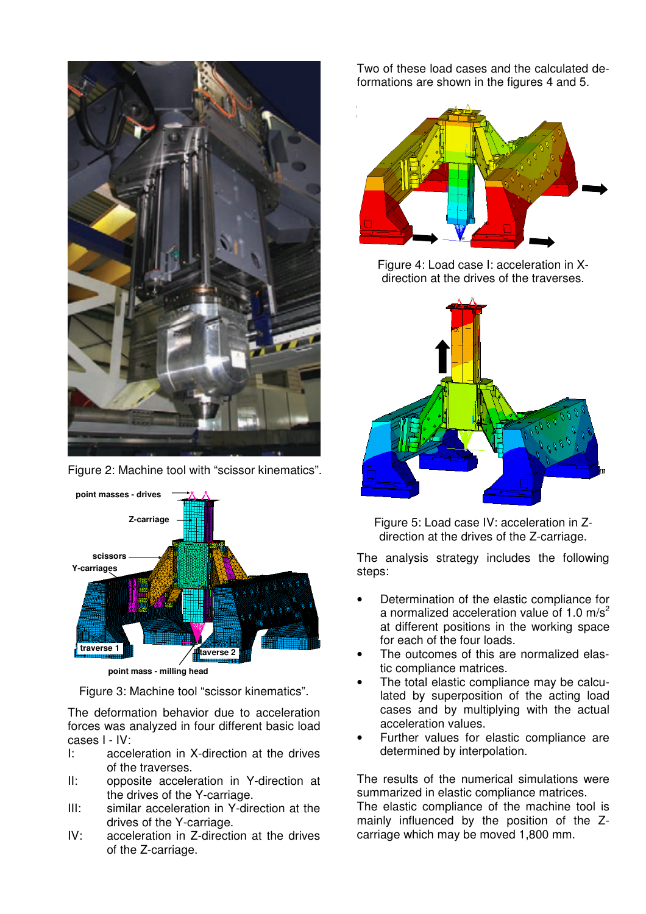

Figure 2: Machine tool with "scissor kinematics".



**point mass - milling head**

Figure 3: Machine tool "scissor kinematics".

The deformation behavior due to acceleration forces was analyzed in four different basic load cases I - IV:

- I: acceleration in X-direction at the drives of the traverses.
- II: opposite acceleration in Y-direction at the drives of the Y-carriage.
- III: similar acceleration in Y-direction at the drives of the Y-carriage.
- IV: acceleration in Z-direction at the drives of the Z-carriage.

Two of these load cases and the calculated deformations are shown in the figures 4 and 5.



Figure 4: Load case I: acceleration in Xdirection at the drives of the traverses.



Figure 5: Load case IV: acceleration in Zdirection at the drives of the Z-carriage.

The analysis strategy includes the following steps:

- Determination of the elastic compliance for a normalized acceleration value of 1.0  $\text{m/s}^2$ at different positions in the working space for each of the four loads.
- The outcomes of this are normalized elastic compliance matrices.
- The total elastic compliance may be calculated by superposition of the acting load cases and by multiplying with the actual acceleration values.
- Further values for elastic compliance are determined by interpolation.

The results of the numerical simulations were summarized in elastic compliance matrices. The elastic compliance of the machine tool is mainly influenced by the position of the Zcarriage which may be moved 1,800 mm.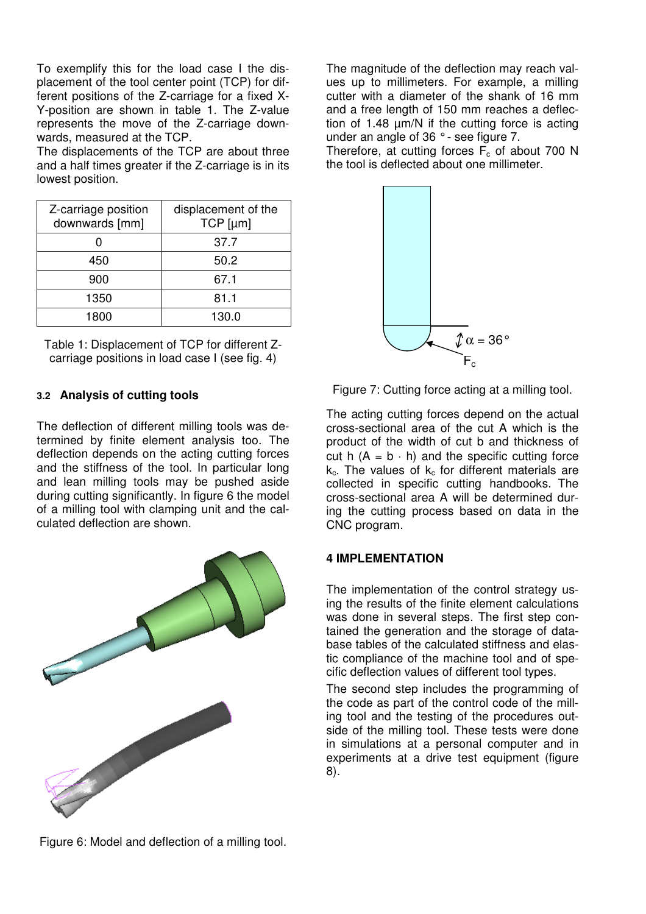To exemplify this for the load case I the displacement of the tool center point (TCP) for different positions of the Z-carriage for a fixed X-Y-position are shown in table 1. The Z-value represents the move of the Z-carriage downwards, measured at the TCP.

The displacements of the TCP are about three and a half times greater if the Z-carriage is in its lowest position.

| Z-carriage position<br>downwards [mm] | displacement of the<br>TCP [µm] |
|---------------------------------------|---------------------------------|
|                                       | 37.7                            |
| 450                                   | 50.2                            |
| 900                                   | 67.1                            |
| 1350                                  | 81.1                            |
| 1800                                  | 130.0                           |

Table 1: Displacement of TCP for different Zcarriage positions in load case I (see fig. 4)

## **3.2 Analysis of cutting tools**

The deflection of different milling tools was determined by finite element analysis too. The deflection depends on the acting cutting forces and the stiffness of the tool. In particular long and lean milling tools may be pushed aside during cutting significantly. In figure 6 the model of a milling tool with clamping unit and the calculated deflection are shown.



The magnitude of the deflection may reach values up to millimeters. For example, a milling cutter with a diameter of the shank of 16 mm and a free length of 150 mm reaches a deflection of 1.48  $\mu$ m/N if the cutting force is acting under an angle of 36 ° - see figure 7.

Therefore, at cutting forces  $\overline{F}_c$  of about 700 N the tool is deflected about one millimeter.



Figure 7: Cutting force acting at a milling tool.

The acting cutting forces depend on the actual cross-sectional area of the cut A which is the product of the width of cut b and thickness of cut h  $(A = b \cdot h)$  and the specific cutting force  $k_c$ . The values of  $k_c$  for different materials are collected in specific cutting handbooks. The cross-sectional area A will be determined during the cutting process based on data in the CNC program.

#### **4 IMPLEMENTATION**

The implementation of the control strategy using the results of the finite element calculations was done in several steps. The first step contained the generation and the storage of database tables of the calculated stiffness and elastic compliance of the machine tool and of specific deflection values of different tool types.

The second step includes the programming of the code as part of the control code of the milling tool and the testing of the procedures outside of the milling tool. These tests were done in simulations at a personal computer and in experiments at a drive test equipment (figure 8).

Figure 6: Model and deflection of a milling tool.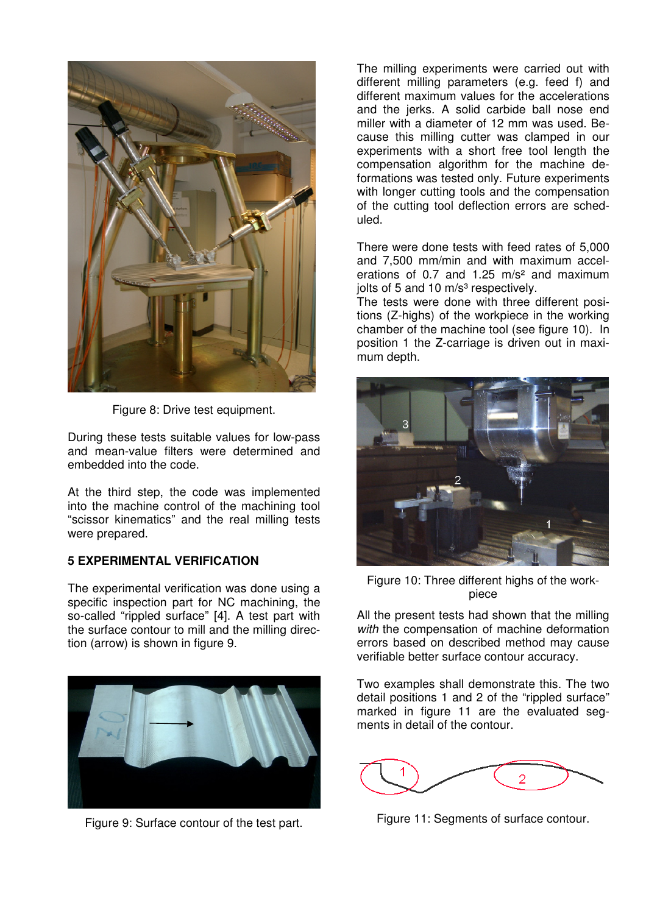

Figure 8: Drive test equipment.

During these tests suitable values for low-pass and mean-value filters were determined and embedded into the code.

At the third step, the code was implemented into the machine control of the machining tool "scissor kinematics" and the real milling tests were prepared.

# **5 EXPERIMENTAL VERIFICATION**

The experimental verification was done using a specific inspection part for NC machining, the so-called "rippled surface" [4]. A test part with the surface contour to mill and the milling direction (arrow) is shown in figure 9.



Figure 9: Surface contour of the test part.

The milling experiments were carried out with different milling parameters (e.g. feed f) and different maximum values for the accelerations and the jerks. A solid carbide ball nose end miller with a diameter of 12 mm was used. Because this milling cutter was clamped in our experiments with a short free tool length the compensation algorithm for the machine deformations was tested only. Future experiments with longer cutting tools and the compensation of the cutting tool deflection errors are scheduled.

There were done tests with feed rates of 5,000 and 7,500 mm/min and with maximum accelerations of 0.7 and 1.25  $m/s<sup>2</sup>$  and maximum jolts of 5 and 10 m/s<sup>3</sup> respectively.

The tests were done with three different positions (Z-highs) of the workpiece in the working chamber of the machine tool (see figure 10). In position 1 the Z-carriage is driven out in maximum depth.



Figure 10: Three different highs of the workpiece

All the present tests had shown that the milling with the compensation of machine deformation errors based on described method may cause verifiable better surface contour accuracy.

Two examples shall demonstrate this. The two detail positions 1 and 2 of the "rippled surface" marked in figure 11 are the evaluated segments in detail of the contour.



Figure 11: Segments of surface contour.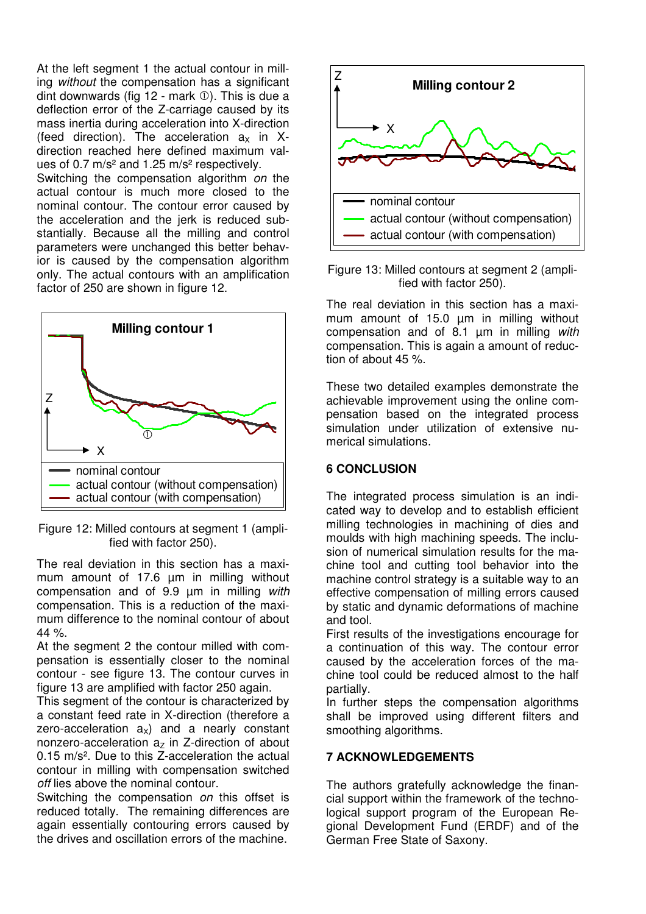At the left segment 1 the actual contour in milling without the compensation has a significant dint downwards (fig  $12$  - mark  $\circled{0}$ ). This is due a deflection error of the Z-carriage caused by its mass inertia during acceleration into X-direction (feed direction). The acceleration  $a_x$  in Xdirection reached here defined maximum values of 0.7 m/s² and 1.25 m/s² respectively.

Switching the compensation algorithm on the actual contour is much more closed to the nominal contour. The contour error caused by the acceleration and the jerk is reduced substantially. Because all the milling and control parameters were unchanged this better behavior is caused by the compensation algorithm only. The actual contours with an amplification factor of 250 are shown in figure 12.



Figure 12: Milled contours at segment 1 (amplified with factor 250).

The real deviation in this section has a maximum amount of 17.6 um in milling without compensation and of 9.9 µm in milling with compensation. This is a reduction of the maximum difference to the nominal contour of about 44 %.

At the segment 2 the contour milled with compensation is essentially closer to the nominal contour - see figure 13. The contour curves in figure 13 are amplified with factor 250 again.

This segment of the contour is characterized by a constant feed rate in X-direction (therefore a zero-acceleration  $a_x$ ) and a nearly constant nonzero-acceleration  $a<sub>z</sub>$  in Z-direction of about 0.15 m/s². Due to this Z-acceleration the actual contour in milling with compensation switched off lies above the nominal contour.

Switching the compensation *on* this offset is reduced totally. The remaining differences are again essentially contouring errors caused by the drives and oscillation errors of the machine.



Figure 13: Milled contours at segment 2 (amplified with factor 250).

The real deviation in this section has a maximum amount of 15.0 um in milling without compensation and of 8.1 µm in milling with compensation. This is again a amount of reduction of about 45 %.

These two detailed examples demonstrate the achievable improvement using the online compensation based on the integrated process simulation under utilization of extensive numerical simulations.

### **6 CONCLUSION**

The integrated process simulation is an indicated way to develop and to establish efficient milling technologies in machining of dies and moulds with high machining speeds. The inclusion of numerical simulation results for the machine tool and cutting tool behavior into the machine control strategy is a suitable way to an effective compensation of milling errors caused by static and dynamic deformations of machine and tool.

First results of the investigations encourage for a continuation of this way. The contour error caused by the acceleration forces of the machine tool could be reduced almost to the half partially.

In further steps the compensation algorithms shall be improved using different filters and smoothing algorithms.

### **7 ACKNOWLEDGEMENTS**

The authors gratefully acknowledge the financial support within the framework of the technological support program of the European Regional Development Fund (ERDF) and of the German Free State of Saxony.